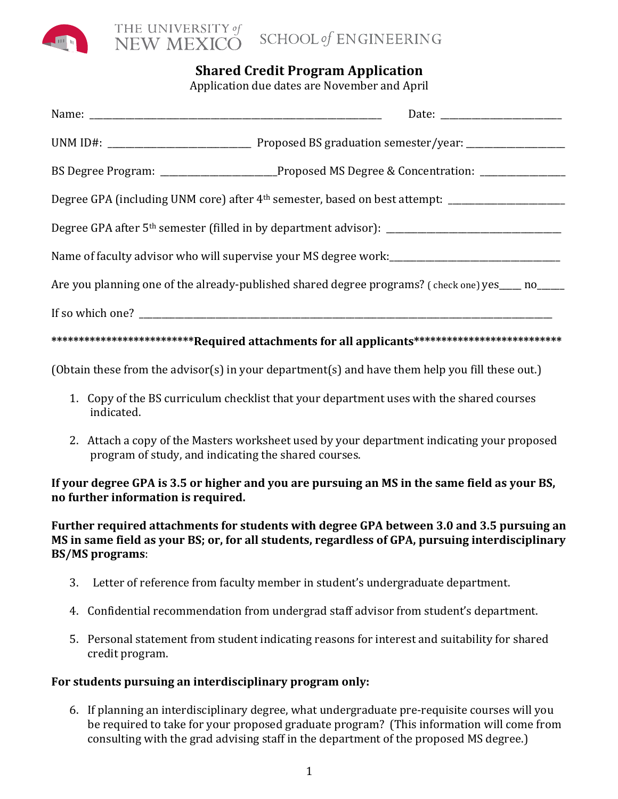

## **Shared Credit Program Application**

Application due dates are November and April

|                                                                                                     | BS Degree Program: __________________________Proposed MS Degree & Concentration: __________________ |  |
|-----------------------------------------------------------------------------------------------------|-----------------------------------------------------------------------------------------------------|--|
|                                                                                                     |                                                                                                     |  |
|                                                                                                     |                                                                                                     |  |
|                                                                                                     |                                                                                                     |  |
| Are you planning one of the already-published shared degree programs? (check one) yes ____ no _____ |                                                                                                     |  |
|                                                                                                     |                                                                                                     |  |
| ****************************Required attachments for all applicants******************************** |                                                                                                     |  |

(Obtain these from the advisor(s) in your department(s) and have them help you fill these out.)

- 1. Copy of the BS curriculum checklist that your department uses with the shared courses indicated.
- 2. Attach a copy of the Masters worksheet used by your department indicating your proposed program of study, and indicating the shared courses.

## **If your degree GPA** is 3.5 or higher and you are pursuing an MS in the same field as your BS, **no further information is required.**

## Further required attachments for students with degree GPA between 3.0 and 3.5 pursuing an **MS** in same field as your BS; or, for all students, regardless of GPA, pursuing interdisciplinary **BS/MS programs**:

- 3. Letter of reference from faculty member in student's undergraduate department.
- 4. Confidential recommendation from undergrad staff advisor from student's department.
- 5. Personal statement from student indicating reasons for interest and suitability for shared credit program.

## For students pursuing an interdisciplinary program only:

6. If planning an interdisciplinary degree, what undergraduate pre-requisite courses will you be required to take for your proposed graduate program? (This information will come from consulting with the grad advising staff in the department of the proposed MS degree.)